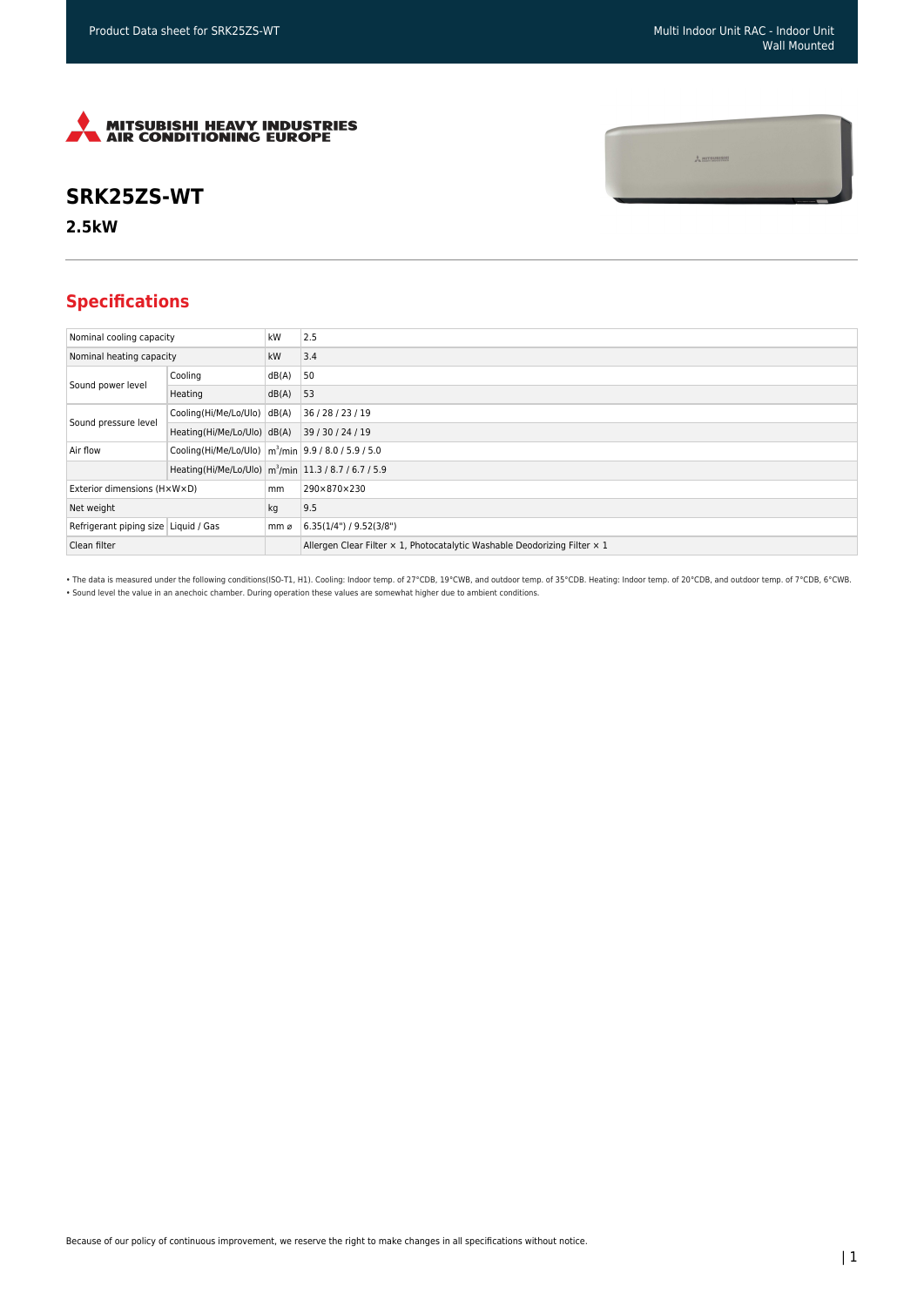$\frac{1}{2}$  mitsunishi



## **SRK25ZS-WT**

**2.5kW**

## **Specifications**

| Nominal cooling capacity             |                                                                     | kW    | 2.5                                                                       |
|--------------------------------------|---------------------------------------------------------------------|-------|---------------------------------------------------------------------------|
| Nominal heating capacity             |                                                                     | kW    | 3.4                                                                       |
| Sound power level                    | Cooling                                                             | dB(A) | 50                                                                        |
|                                      | Heating                                                             | dB(A) | 53                                                                        |
| Sound pressure level                 | Cooling(Hi/Me/Lo/Ulo) dB(A)                                         |       | 36 / 28 / 23 / 19                                                         |
|                                      | Heating(Hi/Me/Lo/Ulo) dB(A)                                         |       | 39 / 30 / 24 / 19                                                         |
| Air flow                             | Cooling(Hi/Me/Lo/Ulo)   m <sup>3</sup> /min   9.9 / 8.0 / 5.9 / 5.0 |       |                                                                           |
|                                      | Heating(Hi/Me/Lo/Ulo) m <sup>3</sup> /min 11.3 / 8.7 / 6.7 / 5.9    |       |                                                                           |
| Exterior dimensions (HxWxD)          |                                                                     | mm    | 290×870×230                                                               |
| Net weight                           |                                                                     | kg    | 9.5                                                                       |
| Refrigerant piping size Liquid / Gas |                                                                     | mm ø  | (6.35(1/4") / 9.52(3/8")                                                  |
| Clean filter                         |                                                                     |       | Allergen Clear Filter x 1, Photocatalytic Washable Deodorizing Filter x 1 |

• The data is measured under the following conditions(ISO-T1, H1). Cooling: Indoor temp. of 27°CDB, 19°CWB, and outdoor temp. of 35°CDB. Heating: Indoor temp. of 20°CDB, and outdoor temp. of 7°CDB, 6°CWB. • Sound level the value in an anechoic chamber. During operation these values are somewhat higher due to ambient conditions.